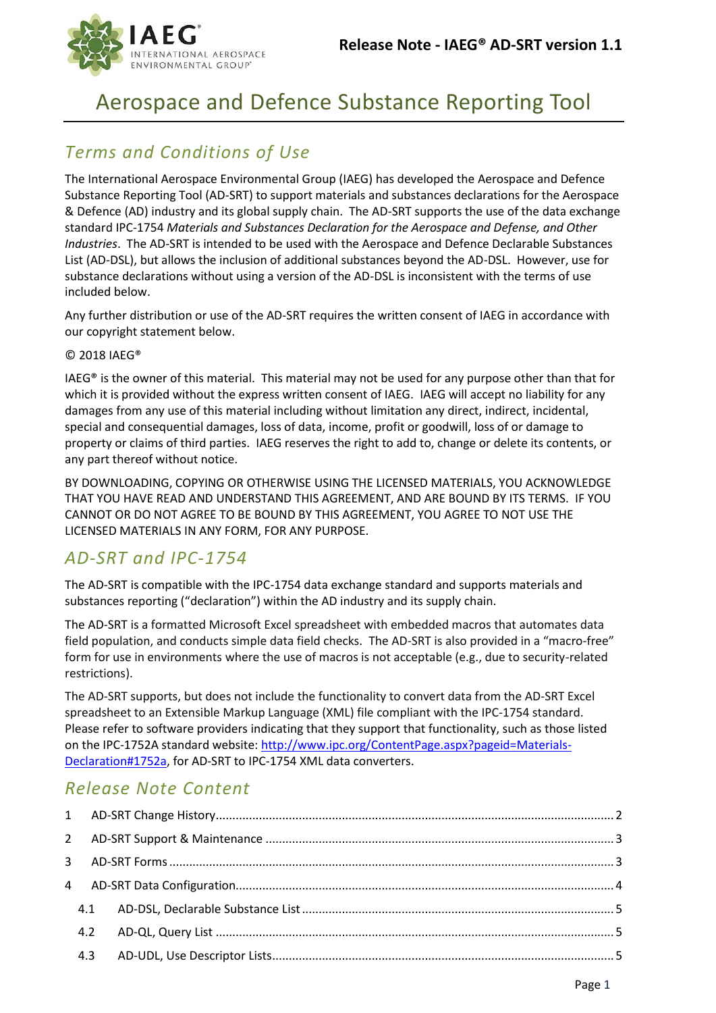

# Aerospace and Defence Substance Reporting Tool

# *Terms and Conditions of Use*

The International Aerospace Environmental Group (IAEG) has developed the Aerospace and Defence Substance Reporting Tool (AD-SRT) to support materials and substances declarations for the Aerospace & Defence (AD) industry and its global supply chain. The AD-SRT supports the use of the data exchange standard IPC-1754 *Materials and Substances Declaration for the Aerospace and Defense, and Other Industries*. The AD-SRT is intended to be used with the Aerospace and Defence Declarable Substances List (AD-DSL), but allows the inclusion of additional substances beyond the AD-DSL. However, use for substance declarations without using a version of the AD-DSL is inconsistent with the terms of use included below.

Any further distribution or use of the AD-SRT requires the written consent of IAEG in accordance with our copyright statement below.

#### © 2018 IAEG®

IAEG® is the owner of this material. This material may not be used for any purpose other than that for which it is provided without the express written consent of IAEG. IAEG will accept no liability for any damages from any use of this material including without limitation any direct, indirect, incidental, special and consequential damages, loss of data, income, profit or goodwill, loss of or damage to property or claims of third parties. IAEG reserves the right to add to, change or delete its contents, or any part thereof without notice.

BY DOWNLOADING, COPYING OR OTHERWISE USING THE LICENSED MATERIALS, YOU ACKNOWLEDGE THAT YOU HAVE READ AND UNDERSTAND THIS AGREEMENT, AND ARE BOUND BY ITS TERMS. IF YOU CANNOT OR DO NOT AGREE TO BE BOUND BY THIS AGREEMENT, YOU AGREE TO NOT USE THE LICENSED MATERIALS IN ANY FORM, FOR ANY PURPOSE.

### *AD-SRT and IPC-1754*

The AD-SRT is compatible with the IPC-1754 data exchange standard and supports materials and substances reporting ("declaration") within the AD industry and its supply chain.

The AD-SRT is a formatted Microsoft Excel spreadsheet with embedded macros that automates data field population, and conducts simple data field checks. The AD-SRT is also provided in a "macro-free" form for use in environments where the use of macros is not acceptable (e.g., due to security-related restrictions).

The AD-SRT supports, but does not include the functionality to convert data from the AD-SRT Excel spreadsheet to an Extensible Markup Language (XML) file compliant with the IPC-1754 standard. Please refer to software providers indicating that they support that functionality, such as those listed on the IPC-1752A standard website: http://www.ipc.org/ContentPage.aspx?pageid=Materials-Declaration#1752a, for AD-SRT to IPC-1754 XML data converters.

# *Release Note Content*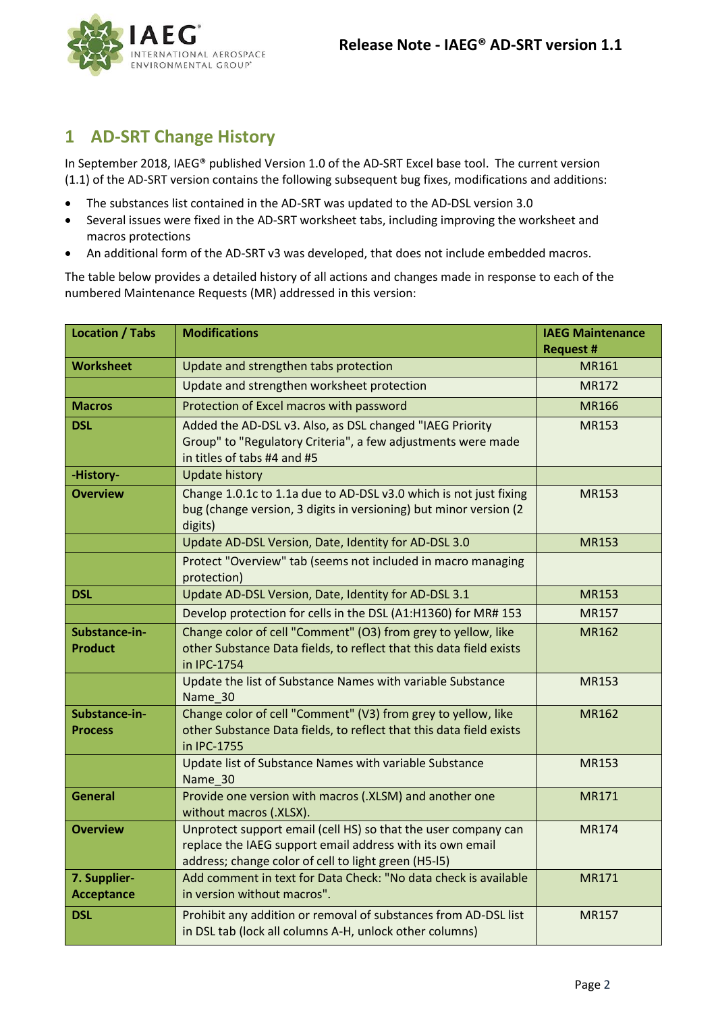

# <span id="page-1-0"></span>**1 AD-SRT Change History**

In September 2018, IAEG® published Version 1.0 of the AD-SRT Excel base tool. The current version (1.1) of the AD-SRT version contains the following subsequent bug fixes, modifications and additions:

- The substances list contained in the AD-SRT was updated to the AD-DSL version 3.0
- Several issues were fixed in the AD-SRT worksheet tabs, including improving the worksheet and macros protections
- An additional form of the AD-SRT v3 was developed, that does not include embedded macros.

The table below provides a detailed history of all actions and changes made in response to each of the numbered Maintenance Requests (MR) addressed in this version:

| <b>Location / Tabs</b>                                                                                                                                                                                 | <b>Modifications</b>                                                                                                                                    | <b>IAEG Maintenance</b> |
|--------------------------------------------------------------------------------------------------------------------------------------------------------------------------------------------------------|---------------------------------------------------------------------------------------------------------------------------------------------------------|-------------------------|
|                                                                                                                                                                                                        |                                                                                                                                                         | <b>Request #</b>        |
| <b>Worksheet</b>                                                                                                                                                                                       | Update and strengthen tabs protection                                                                                                                   | MR161                   |
|                                                                                                                                                                                                        | Update and strengthen worksheet protection                                                                                                              | <b>MR172</b>            |
| <b>Macros</b>                                                                                                                                                                                          | Protection of Excel macros with password                                                                                                                | <b>MR166</b>            |
| <b>DSL</b>                                                                                                                                                                                             | Added the AD-DSL v3. Also, as DSL changed "IAEG Priority<br>Group" to "Regulatory Criteria", a few adjustments were made<br>in titles of tabs #4 and #5 | <b>MR153</b>            |
| -History-                                                                                                                                                                                              | <b>Update history</b>                                                                                                                                   |                         |
| <b>Overview</b>                                                                                                                                                                                        | Change 1.0.1c to 1.1a due to AD-DSL v3.0 which is not just fixing<br>bug (change version, 3 digits in versioning) but minor version (2<br>digits)       | <b>MR153</b>            |
|                                                                                                                                                                                                        | Update AD-DSL Version, Date, Identity for AD-DSL 3.0                                                                                                    | <b>MR153</b>            |
|                                                                                                                                                                                                        | Protect "Overview" tab (seems not included in macro managing<br>protection)                                                                             |                         |
| <b>DSL</b>                                                                                                                                                                                             | Update AD-DSL Version, Date, Identity for AD-DSL 3.1                                                                                                    | <b>MR153</b>            |
|                                                                                                                                                                                                        | Develop protection for cells in the DSL (A1:H1360) for MR# 153                                                                                          | <b>MR157</b>            |
| Substance-in-<br><b>Product</b>                                                                                                                                                                        | Change color of cell "Comment" (O3) from grey to yellow, like<br>other Substance Data fields, to reflect that this data field exists<br>in IPC-1754     | <b>MR162</b>            |
|                                                                                                                                                                                                        | Update the list of Substance Names with variable Substance<br>Name 30                                                                                   |                         |
| Substance-in-<br><b>Process</b>                                                                                                                                                                        | Change color of cell "Comment" (V3) from grey to yellow, like<br>other Substance Data fields, to reflect that this data field exists<br>in IPC-1755     | <b>MR162</b>            |
|                                                                                                                                                                                                        | Update list of Substance Names with variable Substance<br>Name 30                                                                                       | <b>MR153</b>            |
| <b>General</b>                                                                                                                                                                                         | Provide one version with macros (.XLSM) and another one<br>without macros (.XLSX).                                                                      | <b>MR171</b>            |
| Unprotect support email (cell HS) so that the user company can<br><b>Overview</b><br>replace the IAEG support email address with its own email<br>address; change color of cell to light green (H5-I5) |                                                                                                                                                         | <b>MR174</b>            |
| 7. Supplier-<br><b>Acceptance</b>                                                                                                                                                                      | Add comment in text for Data Check: "No data check is available<br>in version without macros".                                                          | MR171                   |
| <b>DSL</b>                                                                                                                                                                                             | Prohibit any addition or removal of substances from AD-DSL list<br>in DSL tab (lock all columns A-H, unlock other columns)                              | <b>MR157</b>            |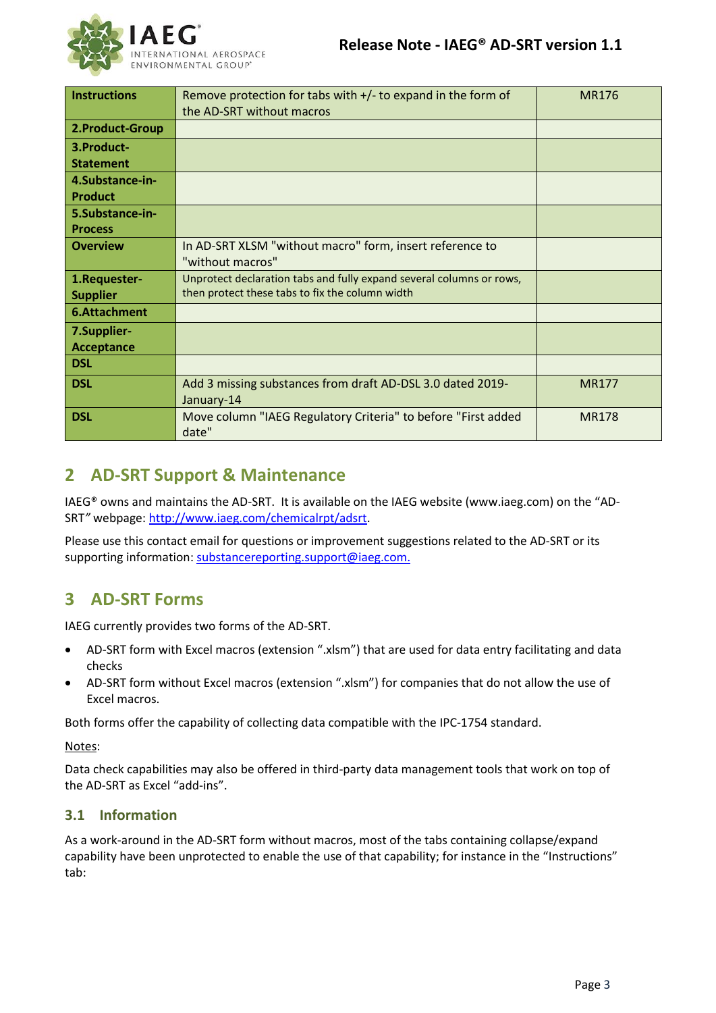| <b>Instructions</b>                                                                  | Remove protection for tabs with $+/-$ to expand in the form of         | <b>MR176</b> |
|--------------------------------------------------------------------------------------|------------------------------------------------------------------------|--------------|
|                                                                                      | the AD-SRT without macros                                              |              |
|                                                                                      |                                                                        |              |
| 2. Product-Group                                                                     |                                                                        |              |
| 3.Product-                                                                           |                                                                        |              |
| <b>Statement</b>                                                                     |                                                                        |              |
| 4.Substance-in-                                                                      |                                                                        |              |
| <b>Product</b>                                                                       |                                                                        |              |
| 5.Substance-in-                                                                      |                                                                        |              |
| <b>Process</b>                                                                       |                                                                        |              |
| <b>Overview</b>                                                                      | In AD-SRT XLSM "without macro" form, insert reference to               |              |
|                                                                                      | "without macros"                                                       |              |
| Unprotect declaration tabs and fully expand several columns or rows,<br>1.Requester- |                                                                        |              |
| <b>Supplier</b>                                                                      | then protect these tabs to fix the column width                        |              |
| 6.Attachment                                                                         |                                                                        |              |
| 7.Supplier-                                                                          |                                                                        |              |
| <b>Acceptance</b>                                                                    |                                                                        |              |
| <b>DSL</b>                                                                           |                                                                        |              |
| <b>DSL</b>                                                                           | Add 3 missing substances from draft AD-DSL 3.0 dated 2019-             | <b>MR177</b> |
|                                                                                      | January-14                                                             |              |
| <b>DSL</b>                                                                           | Move column "IAEG Regulatory Criteria" to before "First added<br>date" | <b>MR178</b> |

# <span id="page-2-0"></span>**2 AD-SRT Support & Maintenance**

IAEG® owns and maintains the AD-SRT. It is available on the IAEG website (www.iaeg.com) on the "AD-SRT*"* webpage[: http://www.iaeg.com/chemicalrpt/adsrt.](http://www.iaeg.com/chemicalrpt/adsrt)

Please use this contact email for questions or improvement suggestions related to the AD-SRT or its supporting information[: substancereporting.support@iaeg.com.](mailto:substancereporting.support@iaeg.com?subject=mailto:%20substancereporting.support@iaeg.com)

### <span id="page-2-1"></span>**3 AD-SRT Forms**

IAEG currently provides two forms of the AD-SRT.

- AD-SRT form with Excel macros (extension ".xlsm") that are used for data entry facilitating and data checks
- AD-SRT form without Excel macros (extension ".xlsm") for companies that do not allow the use of Excel macros.

Both forms offer the capability of collecting data compatible with the IPC-1754 standard.

Notes:

Data check capabilities may also be offered in third-party data management tools that work on top of the AD-SRT as Excel "add-ins".

#### **3.1 Information**

As a work-around in the AD-SRT form without macros, most of the tabs containing collapse/expand capability have been unprotected to enable the use of that capability; for instance in the "Instructions" tab: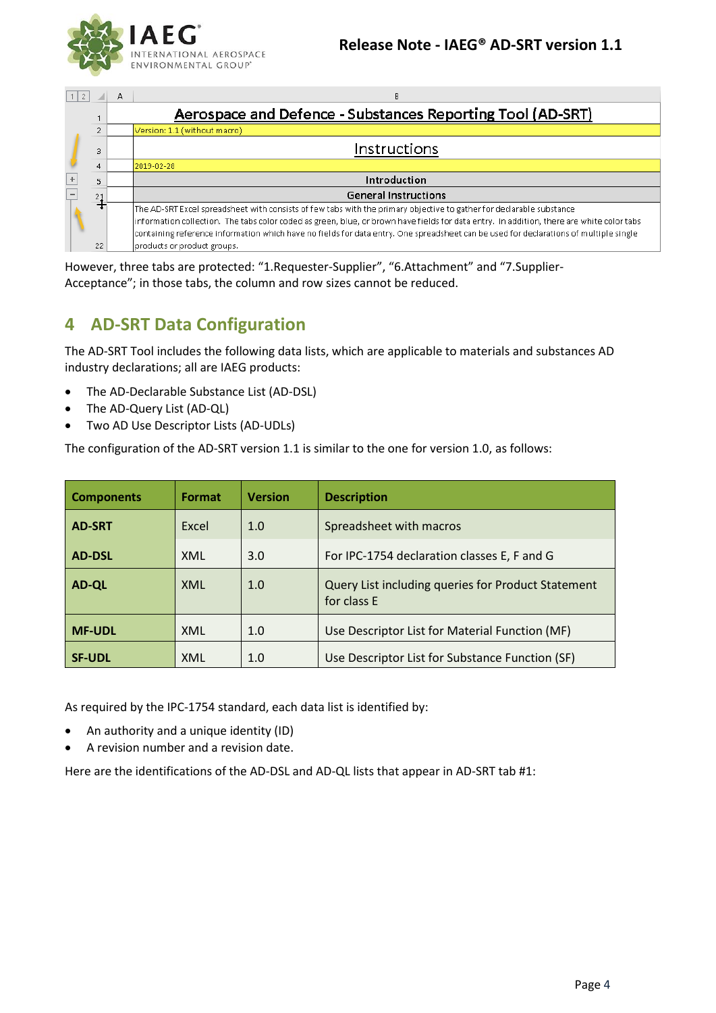

| $1$  2 |                | А | в                                                                                                                                         |
|--------|----------------|---|-------------------------------------------------------------------------------------------------------------------------------------------|
|        |                |   | Aerospace and Defence - Substances Reporting Tool (AD-SRT)                                                                                |
|        | $\overline{2}$ |   | Version: 1.1 (without macro)                                                                                                              |
|        | 3              |   | Instructions                                                                                                                              |
|        | 4              |   | 2019-02-28                                                                                                                                |
|        | 5              |   | Introduction                                                                                                                              |
|        | 21             |   | <b>General Instructions</b>                                                                                                               |
|        |                |   | The AD-SRT Excel spreadsheet with consists of few tabs with the primary objective to gather for declarable substance                      |
|        |                |   | information collection. The tabs color coded as green, blue, or brown have fields for data entry. In addition, there are white color tabs |
|        |                |   | containing reference information which have no fields for data entry. One spreadsheet can be used for declarations of multiple single     |
|        | 22             |   | products or product groups.                                                                                                               |

However, three tabs are protected: "1.Requester-Supplier", "6.Attachment" and "7.Supplier-Acceptance"; in those tabs, the column and row sizes cannot be reduced.

# <span id="page-3-0"></span>**4 AD-SRT Data Configuration**

The AD-SRT Tool includes the following data lists, which are applicable to materials and substances AD industry declarations; all are IAEG products:

- The AD-Declarable Substance List (AD-DSL)
- The AD-Query List (AD-QL)
- Two AD Use Descriptor Lists (AD-UDLs)

The configuration of the AD-SRT version 1.1 is similar to the one for version 1.0, as follows:

| <b>Components</b> | Format | <b>Version</b> | <b>Description</b>                                                |
|-------------------|--------|----------------|-------------------------------------------------------------------|
| <b>AD-SRT</b>     | Excel  | 1.0            | Spreadsheet with macros                                           |
| <b>AD-DSL</b>     | XML    | 3.0            | For IPC-1754 declaration classes E, F and G                       |
| <b>AD-QL</b>      | XML    | 1.0            | Query List including queries for Product Statement<br>for class E |
| <b>MF-UDL</b>     | XML    | 1.0            | Use Descriptor List for Material Function (MF)                    |
| <b>SF-UDL</b>     | XML    | 1.0            | Use Descriptor List for Substance Function (SF)                   |

As required by the IPC-1754 standard, each data list is identified by:

- An authority and a unique identity (ID)
- A revision number and a revision date.

Here are the identifications of the AD-DSL and AD-QL lists that appear in AD-SRT tab #1: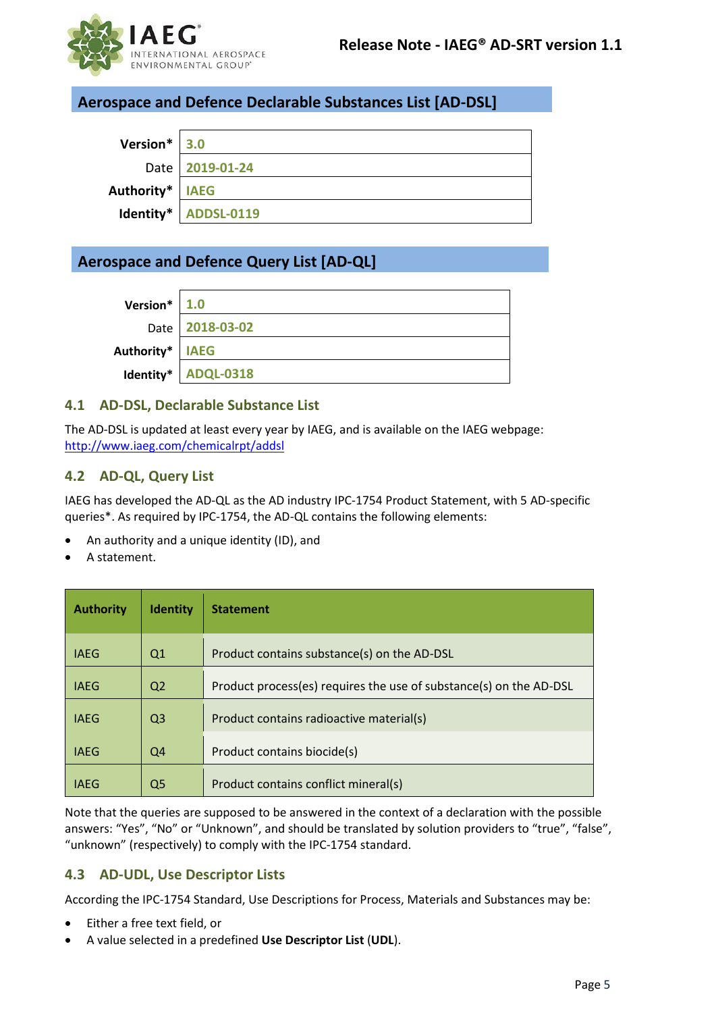

#### **Aerospace and Defence Declarable Substances List [AD-DSL]**

| Version* 3.0      |                      |
|-------------------|----------------------|
|                   | Date   2019-01-24    |
| Authority*   IAEG |                      |
|                   | Identity* ADDSL-0119 |

### **Aerospace and Defence Query List [AD-QL]**

| Version* $ 1.0$   |                     |
|-------------------|---------------------|
|                   | Date 2018-03-02     |
| Authority*   IAEG |                     |
|                   | Identity* ADQL-0318 |

#### <span id="page-4-0"></span>**4.1 AD-DSL, Declarable Substance List**

The AD-DSL is updated at least every year by IAEG, and is available on the IAEG webpage: <http://www.iaeg.com/chemicalrpt/addsl>

#### <span id="page-4-1"></span>**4.2 AD-QL, Query List**

IAEG has developed the AD-QL as the AD industry IPC-1754 Product Statement, with 5 AD-specific queries\*. As required by IPC-1754, the AD-QL contains the following elements:

- An authority and a unique identity (ID), and
- A statement.

| <b>Authority</b> | <b>Identity</b> | <b>Statement</b>                                                   |
|------------------|-----------------|--------------------------------------------------------------------|
| <b>IAEG</b>      | Q1              | Product contains substance(s) on the AD-DSL                        |
| <b>IAEG</b>      | Q <sub>2</sub>  | Product process(es) requires the use of substance(s) on the AD-DSL |
| <b>IAEG</b>      | Q <sub>3</sub>  | Product contains radioactive material(s)                           |
| <b>IAEG</b>      | Q4              | Product contains biocide(s)                                        |
| <b>IAEG</b>      | Q5              | Product contains conflict mineral(s)                               |

Note that the queries are supposed to be answered in the context of a declaration with the possible answers: "Yes", "No" or "Unknown", and should be translated by solution providers to "true", "false", "unknown" (respectively) to comply with the IPC-1754 standard.

#### <span id="page-4-2"></span>**4.3 AD-UDL, Use Descriptor Lists**

According the IPC-1754 Standard, Use Descriptions for Process, Materials and Substances may be:

- Either a free text field, or
- A value selected in a predefined **Use Descriptor List** (**UDL**).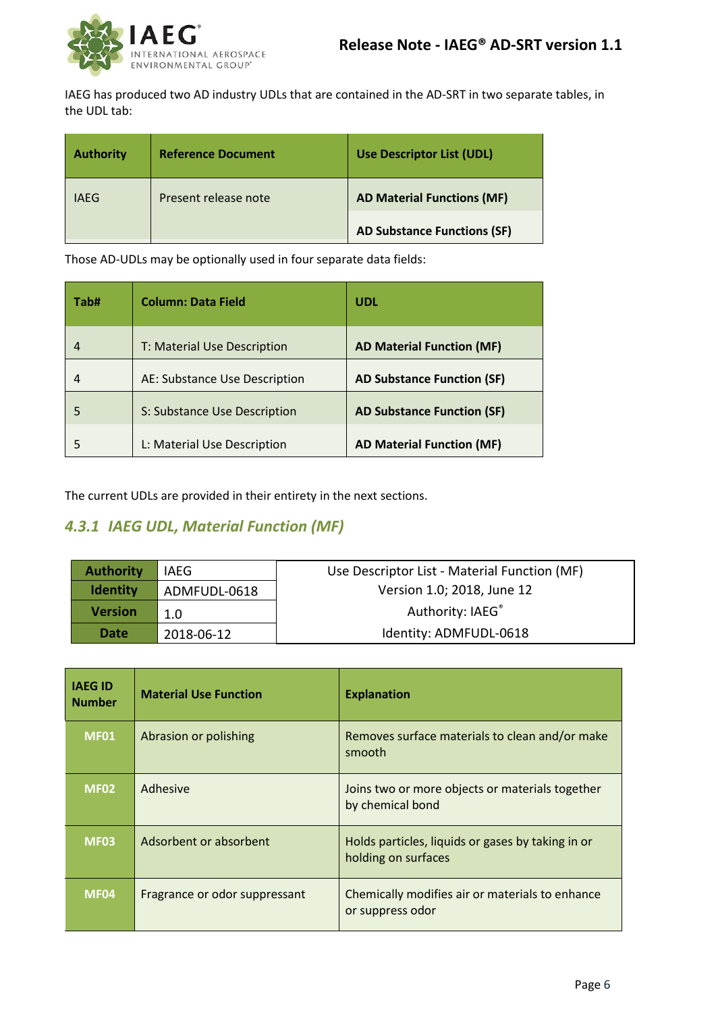

IAEG has produced two AD industry UDLs that are contained in the AD-SRT in two separate tables, in the UDL tab:

| <b>Authority</b> | <b>Reference Document</b> | <b>Use Descriptor List (UDL)</b>   |
|------------------|---------------------------|------------------------------------|
| IAEG             | Present release note      | <b>AD Material Functions (MF)</b>  |
|                  |                           | <b>AD Substance Functions (SF)</b> |

Those AD-UDLs may be optionally used in four separate data fields:

| Tab# | <b>Column: Data Field</b>     | <b>UDL</b>                        |
|------|-------------------------------|-----------------------------------|
| 4    | T: Material Use Description   | <b>AD Material Function (MF)</b>  |
| 4    | AE: Substance Use Description | <b>AD Substance Function (SF)</b> |
| 5    | S: Substance Use Description  | <b>AD Substance Function (SF)</b> |
|      | L: Material Use Description   | <b>AD Material Function (MF)</b>  |

The current UDLs are provided in their entirety in the next sections.

### *4.3.1 IAEG UDL, Material Function (MF)*

| <b>Authority</b> | IAEG         | Use Descriptor List - Material Function (MF) |
|------------------|--------------|----------------------------------------------|
| <b>Identity</b>  | ADMFUDL-0618 | Version 1.0; 2018, June 12                   |
| <b>Version</b>   | 1.0          | Authority: IAEG®                             |
| Date             | 2018-06-12   | Identity: ADMFUDL-0618                       |

| <b>IAEG ID</b><br><b>Number</b> | <b>Material Use Function</b>  | <b>Explanation</b>                                                       |
|---------------------------------|-------------------------------|--------------------------------------------------------------------------|
| <b>MF01</b>                     | Abrasion or polishing         | Removes surface materials to clean and/or make<br>smooth                 |
| <b>MF02</b>                     | Adhesive                      | Joins two or more objects or materials together<br>by chemical bond      |
| <b>MF03</b>                     | Adsorbent or absorbent        | Holds particles, liquids or gases by taking in or<br>holding on surfaces |
| <b>MF04</b>                     | Fragrance or odor suppressant | Chemically modifies air or materials to enhance<br>or suppress odor      |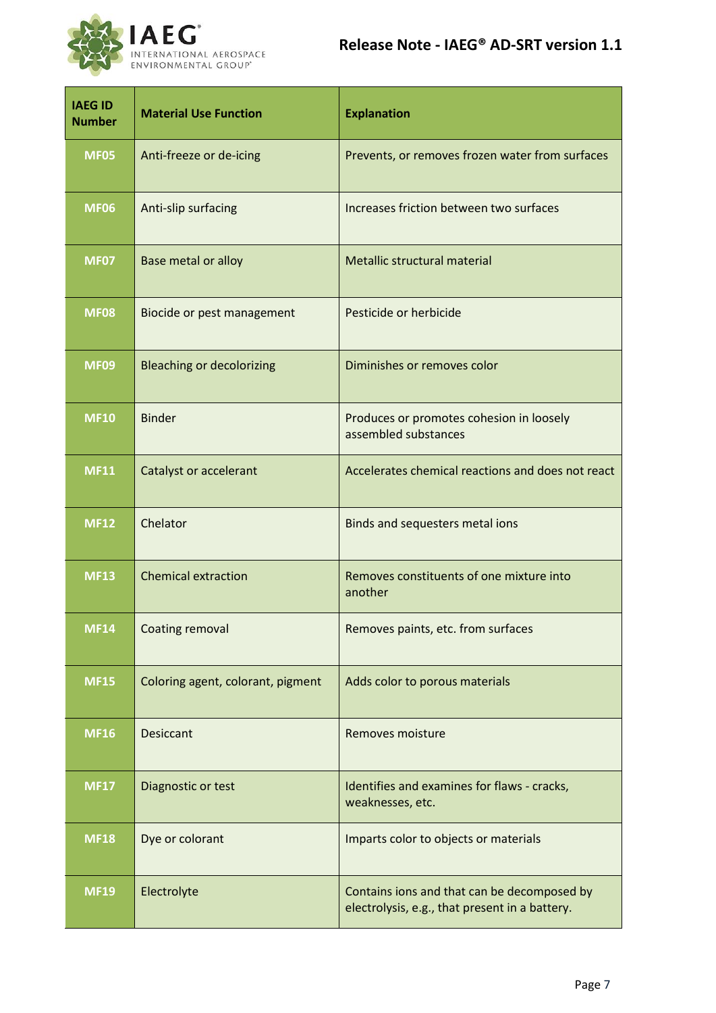

| <b>IAEG ID</b><br><b>Number</b> | <b>Material Use Function</b>      | <b>Explanation</b>                                                                            |
|---------------------------------|-----------------------------------|-----------------------------------------------------------------------------------------------|
| <b>MF05</b>                     | Anti-freeze or de-icing           | Prevents, or removes frozen water from surfaces                                               |
| <b>MF06</b>                     | Anti-slip surfacing               | Increases friction between two surfaces                                                       |
| <b>MF07</b>                     | <b>Base metal or alloy</b>        | Metallic structural material                                                                  |
| <b>MF08</b>                     | Biocide or pest management        | Pesticide or herbicide                                                                        |
| <b>MF09</b>                     | <b>Bleaching or decolorizing</b>  | Diminishes or removes color                                                                   |
| <b>MF10</b>                     | <b>Binder</b>                     | Produces or promotes cohesion in loosely<br>assembled substances                              |
| <b>MF11</b>                     | Catalyst or accelerant            | Accelerates chemical reactions and does not react                                             |
| <b>MF12</b>                     | Chelator                          | Binds and sequesters metal ions                                                               |
| <b>MF13</b>                     | <b>Chemical extraction</b>        | Removes constituents of one mixture into<br>another                                           |
| <b>MF14</b>                     | <b>Coating removal</b>            | Removes paints, etc. from surfaces                                                            |
| <b>MF15</b>                     | Coloring agent, colorant, pigment | Adds color to porous materials                                                                |
| <b>MF16</b>                     | <b>Desiccant</b>                  | Removes moisture                                                                              |
| <b>MF17</b>                     | Diagnostic or test                | Identifies and examines for flaws - cracks,<br>weaknesses, etc.                               |
| <b>MF18</b>                     | Dye or colorant                   | Imparts color to objects or materials                                                         |
| <b>MF19</b>                     | Electrolyte                       | Contains ions and that can be decomposed by<br>electrolysis, e.g., that present in a battery. |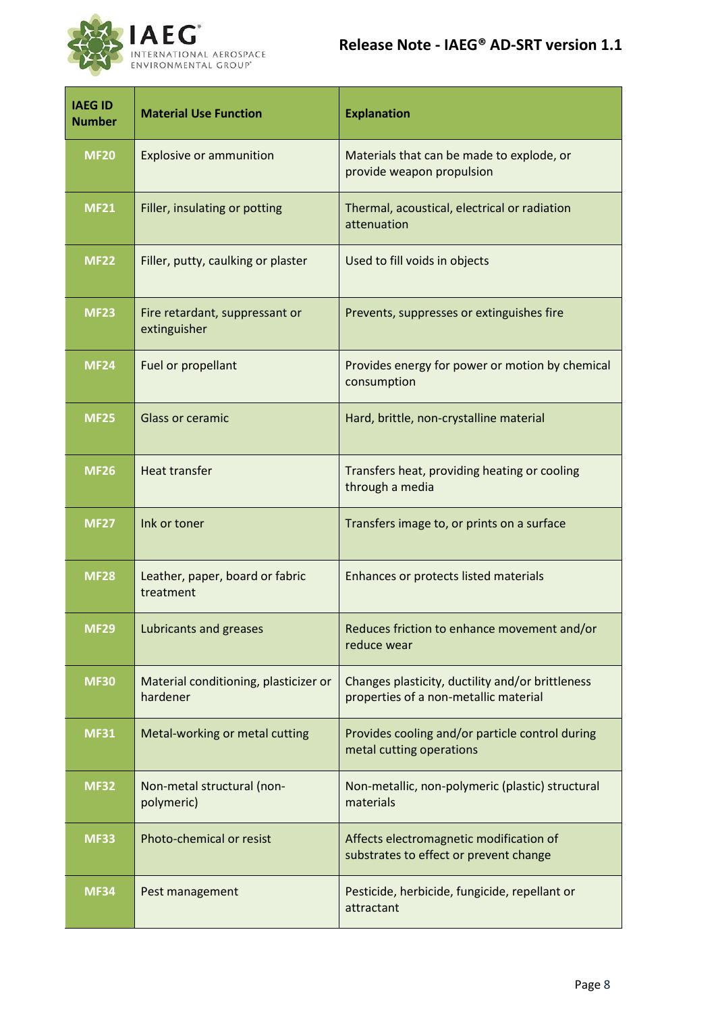

| <b>IAEG ID</b><br><b>Number</b> | <b>Material Use Function</b>                      | <b>Explanation</b>                                                                        |
|---------------------------------|---------------------------------------------------|-------------------------------------------------------------------------------------------|
| <b>MF20</b>                     | <b>Explosive or ammunition</b>                    | Materials that can be made to explode, or<br>provide weapon propulsion                    |
| <b>MF21</b>                     | Filler, insulating or potting                     | Thermal, acoustical, electrical or radiation<br>attenuation                               |
| <b>MF22</b>                     | Filler, putty, caulking or plaster                | Used to fill voids in objects                                                             |
| <b>MF23</b>                     | Fire retardant, suppressant or<br>extinguisher    | Prevents, suppresses or extinguishes fire                                                 |
| <b>MF24</b>                     | Fuel or propellant                                | Provides energy for power or motion by chemical<br>consumption                            |
| <b>MF25</b>                     | <b>Glass or ceramic</b>                           | Hard, brittle, non-crystalline material                                                   |
| <b>MF26</b>                     | <b>Heat transfer</b>                              | Transfers heat, providing heating or cooling<br>through a media                           |
| <b>MF27</b>                     | Ink or toner                                      | Transfers image to, or prints on a surface                                                |
| <b>MF28</b>                     | Leather, paper, board or fabric<br>treatment      | Enhances or protects listed materials                                                     |
| <b>MF29</b>                     | Lubricants and greases                            | Reduces friction to enhance movement and/or<br>reduce wear                                |
| <b>MF30</b>                     | Material conditioning, plasticizer or<br>hardener | Changes plasticity, ductility and/or brittleness<br>properties of a non-metallic material |
| <b>MF31</b>                     | Metal-working or metal cutting                    | Provides cooling and/or particle control during<br>metal cutting operations               |
| <b>MF32</b>                     | Non-metal structural (non-<br>polymeric)          | Non-metallic, non-polymeric (plastic) structural<br>materials                             |
| <b>MF33</b>                     | Photo-chemical or resist                          | Affects electromagnetic modification of<br>substrates to effect or prevent change         |
| <b>MF34</b>                     | Pest management                                   | Pesticide, herbicide, fungicide, repellant or<br>attractant                               |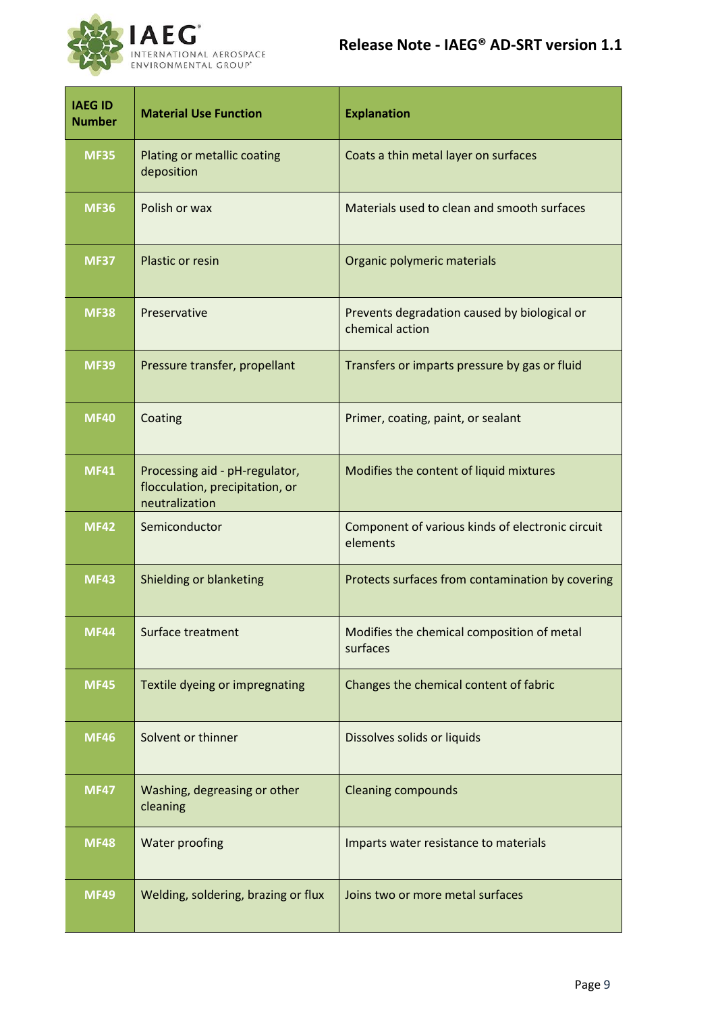

| <b>IAEG ID</b><br><b>Number</b> | <b>Material Use Function</b>                                                        | <b>Explanation</b>                                              |
|---------------------------------|-------------------------------------------------------------------------------------|-----------------------------------------------------------------|
| <b>MF35</b>                     | Plating or metallic coating<br>deposition                                           | Coats a thin metal layer on surfaces                            |
| <b>MF36</b>                     | Polish or wax                                                                       | Materials used to clean and smooth surfaces                     |
| <b>MF37</b>                     | Plastic or resin                                                                    | Organic polymeric materials                                     |
| <b>MF38</b>                     | Preservative                                                                        | Prevents degradation caused by biological or<br>chemical action |
| <b>MF39</b>                     | Pressure transfer, propellant                                                       | Transfers or imparts pressure by gas or fluid                   |
| <b>MF40</b>                     | Coating                                                                             | Primer, coating, paint, or sealant                              |
| <b>MF41</b>                     | Processing aid - pH-regulator,<br>flocculation, precipitation, or<br>neutralization | Modifies the content of liquid mixtures                         |
| <b>MF42</b>                     | Semiconductor                                                                       | Component of various kinds of electronic circuit<br>elements    |
| <b>MF43</b>                     | Shielding or blanketing                                                             | Protects surfaces from contamination by covering                |
| <b>MF44</b>                     | Surface treatment                                                                   | Modifies the chemical composition of metal<br>surfaces          |
| <b>MF45</b>                     | Textile dyeing or impregnating                                                      | Changes the chemical content of fabric                          |
| <b>MF46</b>                     | Solvent or thinner                                                                  | Dissolves solids or liquids                                     |
| <b>MF47</b>                     | Washing, degreasing or other<br>cleaning                                            | <b>Cleaning compounds</b>                                       |
| <b>MF48</b>                     | Water proofing                                                                      | Imparts water resistance to materials                           |
| <b>MF49</b>                     | Welding, soldering, brazing or flux                                                 | Joins two or more metal surfaces                                |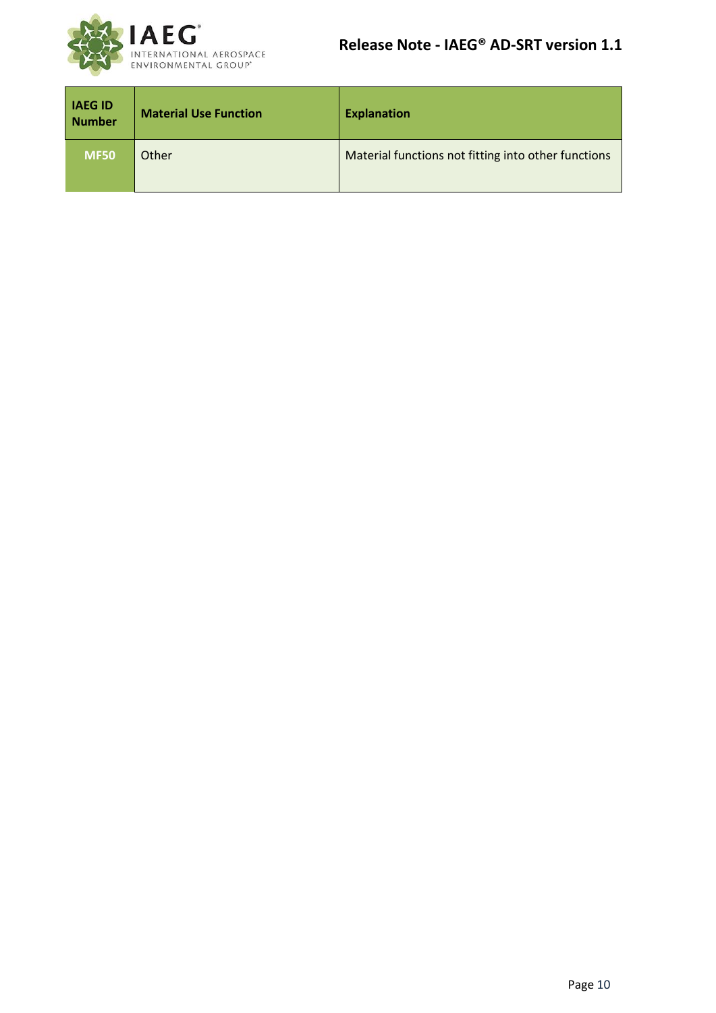

| <b>IAEGID</b><br>Number | <b>Material Use Function</b> | <b>Explanation</b>                                  |
|-------------------------|------------------------------|-----------------------------------------------------|
| <b>MF50</b>             | Other                        | Material functions not fitting into other functions |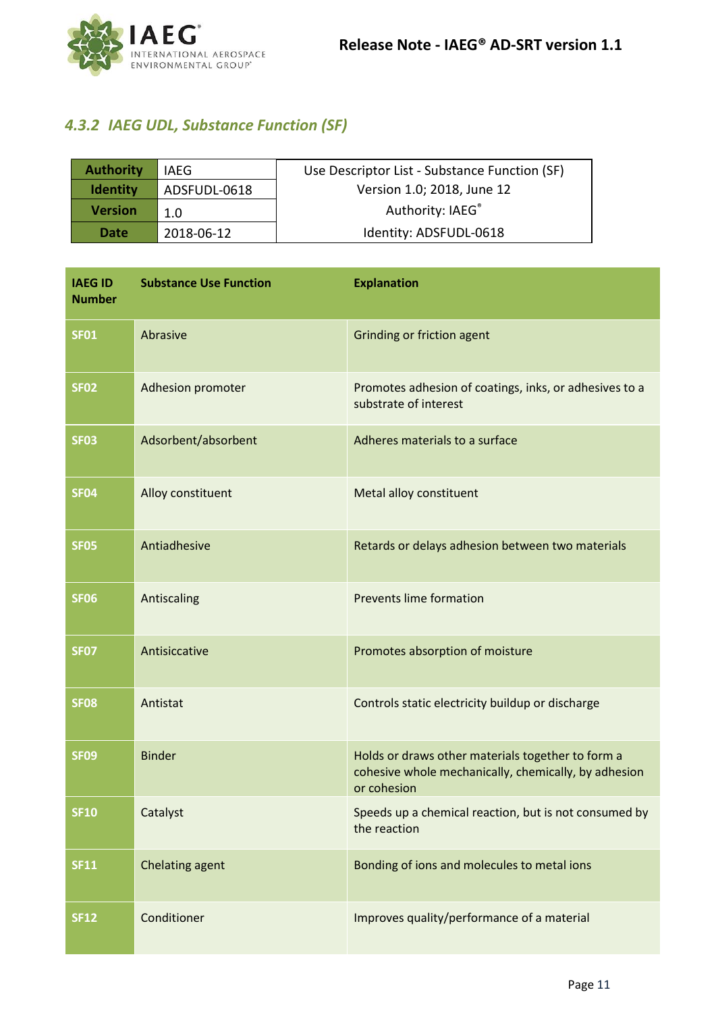

### *4.3.2 IAEG UDL, Substance Function (SF)*

| <b>Authority</b> | <b>IAEG</b>  | Use Descriptor List - Substance Function (SF) |
|------------------|--------------|-----------------------------------------------|
| <b>Identity</b>  | ADSFUDL-0618 | Version 1.0; 2018, June 12                    |
| <b>Version</b>   | 1.0          | Authority: IAEG®                              |
| Date             | 2018-06-12   | Identity: ADSFUDL-0618                        |

| <b>IAEG ID</b><br><b>Number</b> | <b>Substance Use Function</b> | <b>Explanation</b>                                                                                                       |
|---------------------------------|-------------------------------|--------------------------------------------------------------------------------------------------------------------------|
| <b>SF01</b>                     | Abrasive                      | Grinding or friction agent                                                                                               |
| <b>SF02</b>                     | <b>Adhesion promoter</b>      | Promotes adhesion of coatings, inks, or adhesives to a<br>substrate of interest                                          |
| <b>SF03</b>                     | Adsorbent/absorbent           | Adheres materials to a surface                                                                                           |
| <b>SF04</b>                     | Alloy constituent             | Metal alloy constituent                                                                                                  |
| <b>SF05</b>                     | Antiadhesive                  | Retards or delays adhesion between two materials                                                                         |
| <b>SF06</b>                     | Antiscaling                   | <b>Prevents lime formation</b>                                                                                           |
| <b>SF07</b>                     | Antisiccative                 | Promotes absorption of moisture                                                                                          |
| <b>SF08</b>                     | Antistat                      | Controls static electricity buildup or discharge                                                                         |
| <b>SF09</b>                     | <b>Binder</b>                 | Holds or draws other materials together to form a<br>cohesive whole mechanically, chemically, by adhesion<br>or cohesion |
| <b>SF10</b>                     | Catalyst                      | Speeds up a chemical reaction, but is not consumed by<br>the reaction                                                    |
| <b>SF11</b>                     | Chelating agent               | Bonding of ions and molecules to metal ions                                                                              |
| <b>SF12</b>                     | Conditioner                   | Improves quality/performance of a material                                                                               |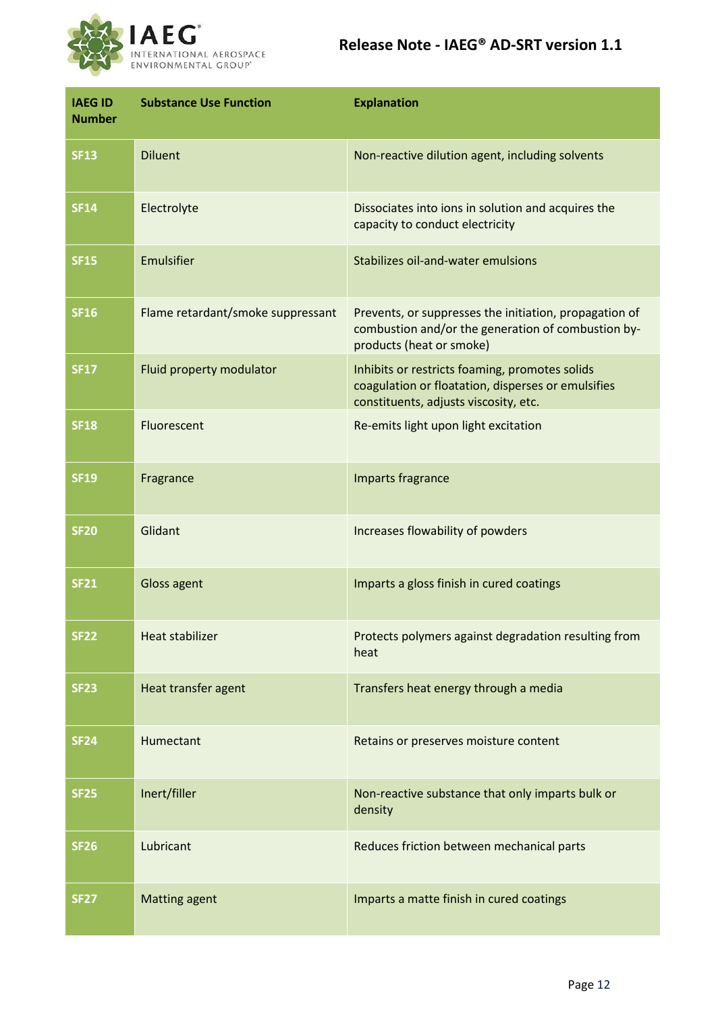

| <b>IAEG ID</b><br><b>Number</b> | <b>Substance Use Function</b>     | <b>Explanation</b>                                                                                                                            |
|---------------------------------|-----------------------------------|-----------------------------------------------------------------------------------------------------------------------------------------------|
| <b>SF13</b>                     | <b>Diluent</b>                    | Non-reactive dilution agent, including solvents                                                                                               |
| <b>SF14</b>                     | Electrolyte                       | Dissociates into ions in solution and acquires the<br>capacity to conduct electricity                                                         |
| <b>SF15</b>                     | Emulsifier                        | Stabilizes oil-and-water emulsions                                                                                                            |
| <b>SF16</b>                     | Flame retardant/smoke suppressant | Prevents, or suppresses the initiation, propagation of<br>combustion and/or the generation of combustion by-<br>products (heat or smoke)      |
| <b>SF17</b>                     | Fluid property modulator          | Inhibits or restricts foaming, promotes solids<br>coagulation or floatation, disperses or emulsifies<br>constituents, adjusts viscosity, etc. |
| <b>SF18</b>                     | Fluorescent                       | Re-emits light upon light excitation                                                                                                          |
| <b>SF19</b>                     | Fragrance                         | Imparts fragrance                                                                                                                             |
| <b>SF20</b>                     | Glidant                           | Increases flowability of powders                                                                                                              |
| <b>SF21</b>                     | Gloss agent                       | Imparts a gloss finish in cured coatings                                                                                                      |
| <b>SF22</b>                     | <b>Heat stabilizer</b>            | Protects polymers against degradation resulting from<br>heat                                                                                  |
| <b>SF23</b>                     | Heat transfer agent               | Transfers heat energy through a media                                                                                                         |
| <b>SF24</b>                     | Humectant                         | Retains or preserves moisture content                                                                                                         |
| <b>SF25</b>                     | Inert/filler                      | Non-reactive substance that only imparts bulk or<br>density                                                                                   |
| <b>SF26</b>                     | Lubricant                         | Reduces friction between mechanical parts                                                                                                     |
| <b>SF27</b>                     | <b>Matting agent</b>              | Imparts a matte finish in cured coatings                                                                                                      |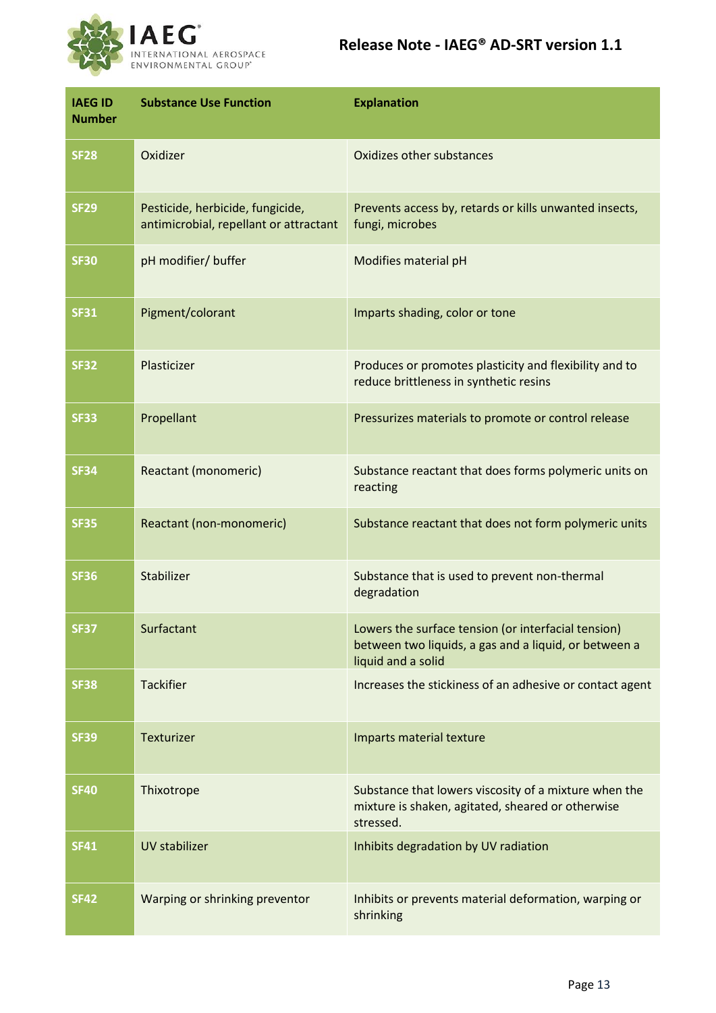

| <b>IAEG ID</b><br><b>Number</b> | <b>Substance Use Function</b>                                              | <b>Explanation</b>                                                                                                                 |
|---------------------------------|----------------------------------------------------------------------------|------------------------------------------------------------------------------------------------------------------------------------|
| <b>SF28</b>                     | Oxidizer                                                                   | Oxidizes other substances                                                                                                          |
| <b>SF29</b>                     | Pesticide, herbicide, fungicide,<br>antimicrobial, repellant or attractant | Prevents access by, retards or kills unwanted insects,<br>fungi, microbes                                                          |
| <b>SF30</b>                     | pH modifier/ buffer                                                        | Modifies material pH                                                                                                               |
| <b>SF31</b>                     | Pigment/colorant                                                           | Imparts shading, color or tone                                                                                                     |
| <b>SF32</b>                     | Plasticizer                                                                | Produces or promotes plasticity and flexibility and to<br>reduce brittleness in synthetic resins                                   |
| <b>SF33</b>                     | Propellant                                                                 | Pressurizes materials to promote or control release                                                                                |
| <b>SF34</b>                     | Reactant (monomeric)                                                       | Substance reactant that does forms polymeric units on<br>reacting                                                                  |
| <b>SF35</b>                     | Reactant (non-monomeric)                                                   | Substance reactant that does not form polymeric units                                                                              |
| <b>SF36</b>                     | Stabilizer                                                                 | Substance that is used to prevent non-thermal<br>degradation                                                                       |
| <b>SF37</b>                     | Surfactant                                                                 | Lowers the surface tension (or interfacial tension)<br>between two liquids, a gas and a liquid, or between a<br>liquid and a solid |
| <b>SF38</b>                     | <b>Tackifier</b>                                                           | Increases the stickiness of an adhesive or contact agent                                                                           |
| <b>SF39</b>                     | Texturizer                                                                 | Imparts material texture                                                                                                           |
| <b>SF40</b>                     | Thixotrope                                                                 | Substance that lowers viscosity of a mixture when the<br>mixture is shaken, agitated, sheared or otherwise<br>stressed.            |
| <b>SF41</b>                     | UV stabilizer                                                              | Inhibits degradation by UV radiation                                                                                               |
| <b>SF42</b>                     | Warping or shrinking preventor                                             | Inhibits or prevents material deformation, warping or<br>shrinking                                                                 |